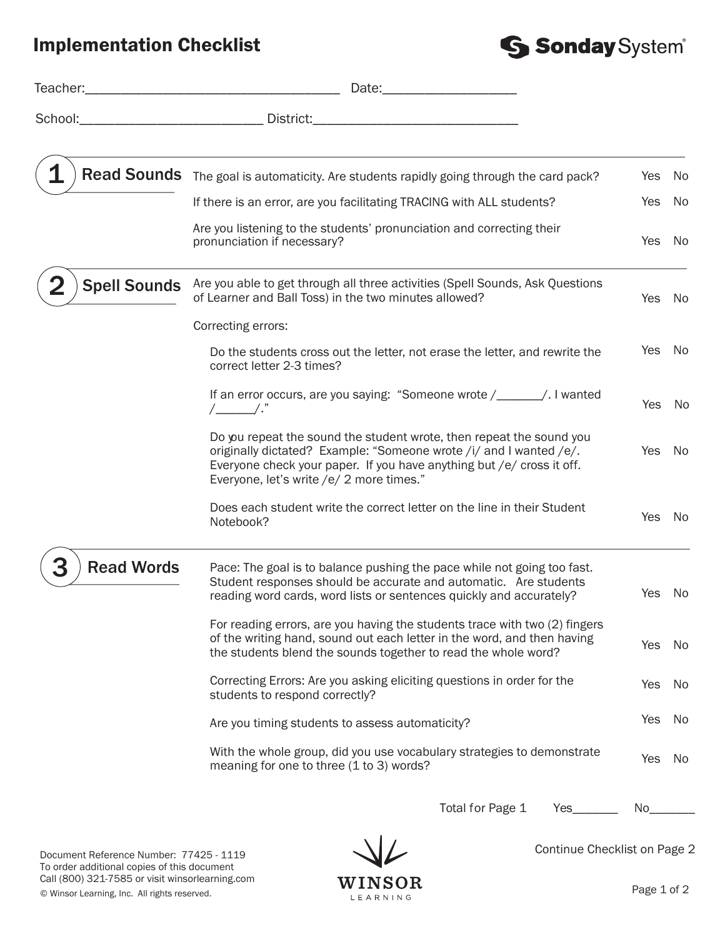## Implementation Checklist



|                     | Date: the contract of the contract of the contract of the contract of the contract of the contract of the contract of the contract of the contract of the contract of the contract of the contract of the contract of the cont                                  |            |     |
|---------------------|-----------------------------------------------------------------------------------------------------------------------------------------------------------------------------------------------------------------------------------------------------------------|------------|-----|
| School:             |                                                                                                                                                                                                                                                                 |            |     |
|                     | Read Sounds The goal is automaticity. Are students rapidly going through the card pack?                                                                                                                                                                         | Yes        | No. |
|                     | If there is an error, are you facilitating TRACING with ALL students?                                                                                                                                                                                           | Yes        | No  |
|                     | Are you listening to the students' pronunciation and correcting their<br>pronunciation if necessary?                                                                                                                                                            | <b>Yes</b> | No  |
| <b>Spell Sounds</b> | Are you able to get through all three activities (Spell Sounds, Ask Questions<br>of Learner and Ball Toss) in the two minutes allowed?                                                                                                                          | Yes        | No. |
|                     | Correcting errors:                                                                                                                                                                                                                                              |            |     |
|                     | Do the students cross out the letter, not erase the letter, and rewrite the<br>correct letter 2-3 times?                                                                                                                                                        | Yes        | No  |
|                     | If an error occurs, are you saying: "Someone wrote /______/. I wanted                                                                                                                                                                                           | Yes        | No  |
|                     | Do you repeat the sound the student wrote, then repeat the sound you<br>originally dictated? Example: "Someone wrote /i/ and I wanted /e/.<br>Everyone check your paper. If you have anything but /e/ cross it off.<br>Everyone, let's write /e/ 2 more times." | <b>Yes</b> | No  |
|                     | Does each student write the correct letter on the line in their Student<br>Notebook?                                                                                                                                                                            | <b>Yes</b> | No  |
| <b>Read Words</b>   | Pace: The goal is to balance pushing the pace while not going too fast.<br>Student responses should be accurate and automatic. Are students<br>reading word cards, word lists or sentences quickly and accurately?                                              | Yes        | No  |
|                     | For reading errors, are you having the students trace with two (2) fingers<br>of the writing hand, sound out each letter in the word, and then having<br>the students blend the sounds together to read the whole word?                                         | Yes        | No. |
|                     | Correcting Errors: Are you asking eliciting questions in order for the<br>students to respond correctly?                                                                                                                                                        | Yes        | No  |
|                     | Are you timing students to assess automaticity?                                                                                                                                                                                                                 | Yes        | No  |
|                     | With the whole group, did you use vocabulary strategies to demonstrate<br>meaning for one to three (1 to 3) words?                                                                                                                                              | Yes        | No. |
|                     | Total for Page 1<br>Yes_                                                                                                                                                                                                                                        | No_        |     |

Document Reference Number: 77425 - 1119 To order additional copies of this document Call (800) 321-7585 or visit winsorlearning.com



Continue Checklist on Page 2